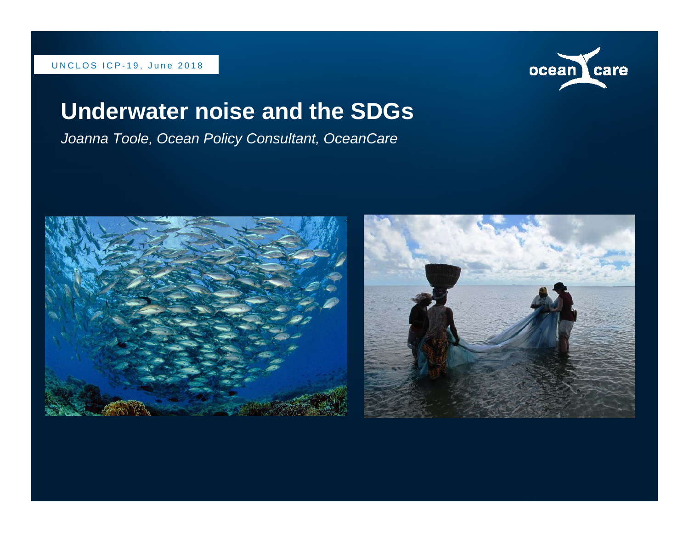#### UNCLOS ICP-19, June 2018



#### **Underwater noise and the SDGs**

*Joanna Toole, Ocean Policy Consultant, OceanCare* 



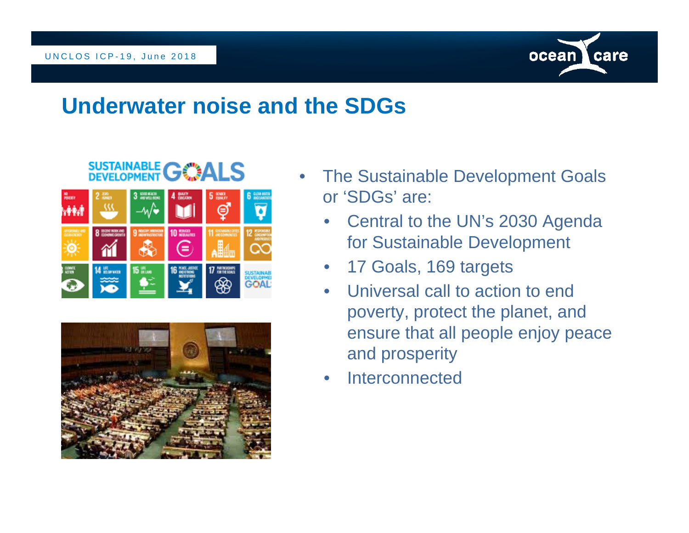

# **SUSTAINABLE GOALS**





- $\bullet$  The Sustainable Development Goals or 'SDGs' are:
	- • Central to the UN's 2030 Agenda for Sustainable Development
	- $\bullet$ 17 Goals, 169 targets
	- $\bullet$  Universal call to action to end poverty, protect the planet, and ensure that all people enjoy peace and prosperity
	- •Interconnected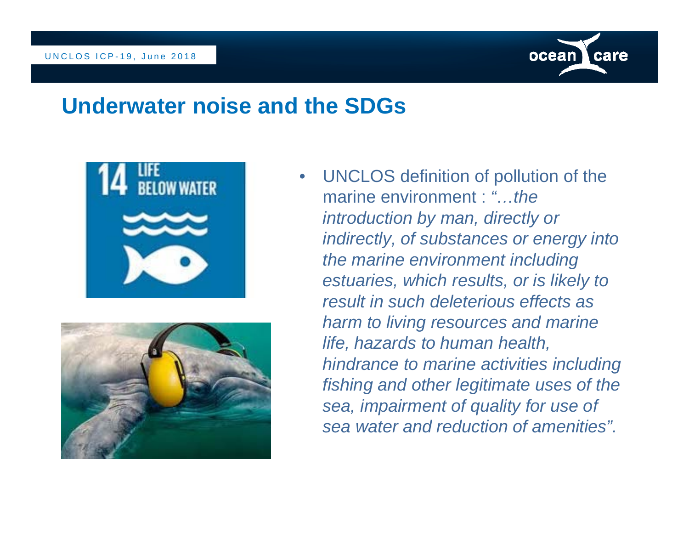





• UNCLOS definition of pollution of the marine environment : *"…the introduction by man, directly or indirectly, of substances or energy into the marine environment including estuaries, which results, or is likely to result in such deleterious effects as harm to living resources and marine life, hazards to human health, hindrance to marine activities including fishing and other legitimate uses of the sea, impairment of quality for use of sea water and reduction of amenities".*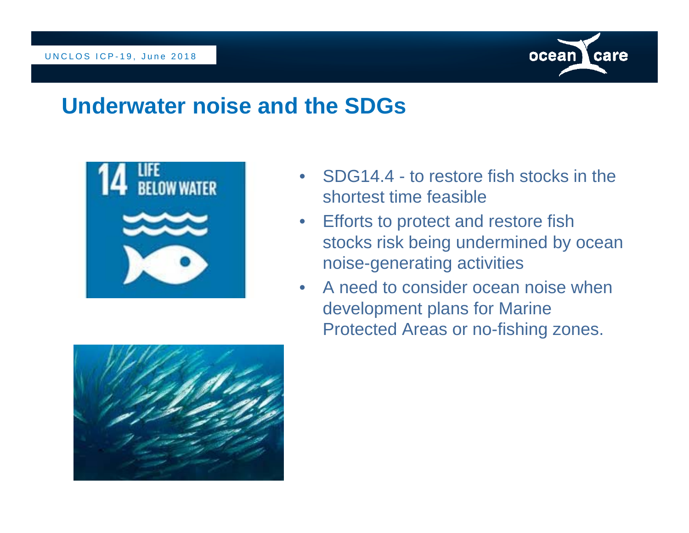



- $\bullet$  SDG14.4 - to restore fish stocks in the shortest time feasible
- Efforts to protect and restore fish stocks risk being undermined by ocean noise-generating activities
- • A need to consider ocean noise when development plans for Marine Protected Areas or no-fishing zones.

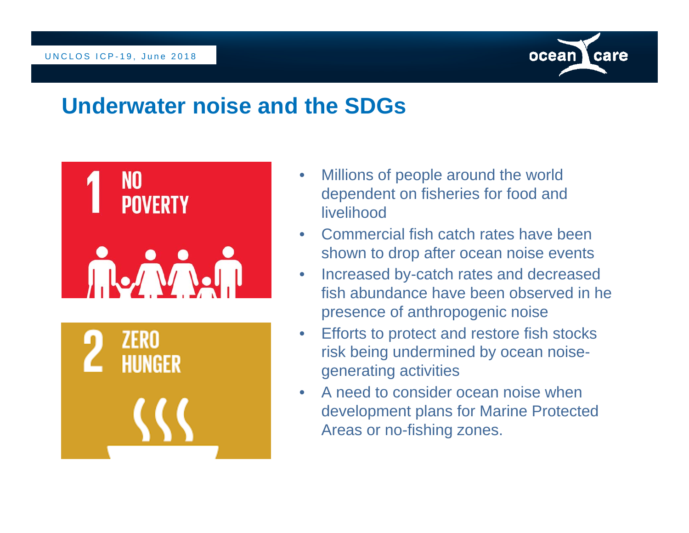



- $\bullet$  Millions of people around the world dependent on fisheries for food and livelihood
- • Commercial fish catch rates have been shown to drop after ocean noise events
- $\bullet$  Increased by-catch rates and decreased fish abundance have been observed in he presence of anthropogenic noise
- $\bullet$  Efforts to protect and restore fish stocks risk being undermined by ocean noisegenerating activities
- • A need to consider ocean noise when development plans for Marine Protected Areas or no-fishing zones.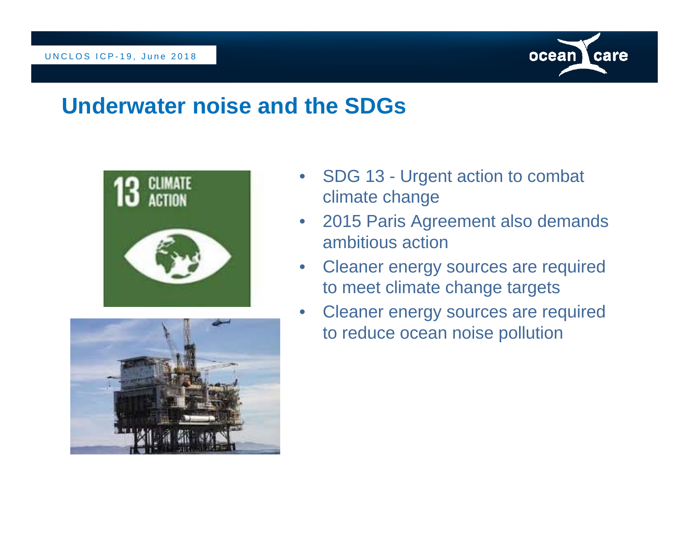





- $\bullet$  SDG 13 - Urgent action to combat climate change
- 2015 Paris Agreement also demands ambitious action
- Cleaner energy sources are required to meet climate change targets
- $\bullet$  Cleaner energy sources are required to reduce ocean noise pollution